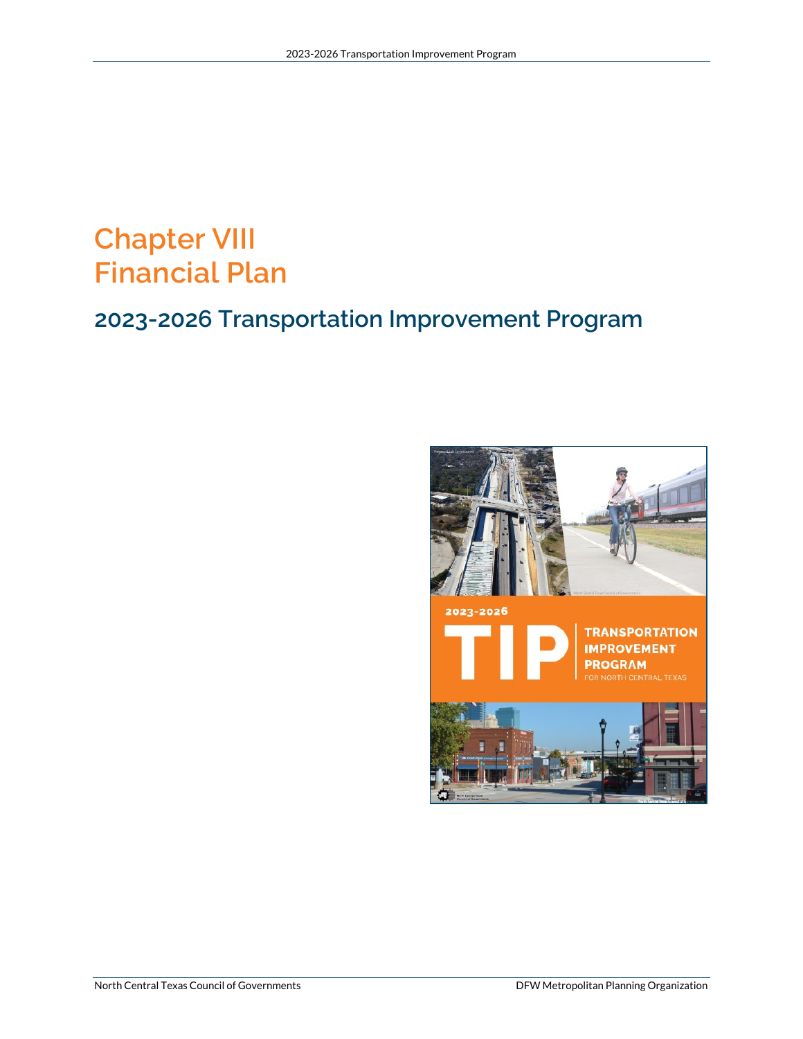# **Chapter VIII Financial Plan**

## **2023-2026 Transportation Improvement Program**

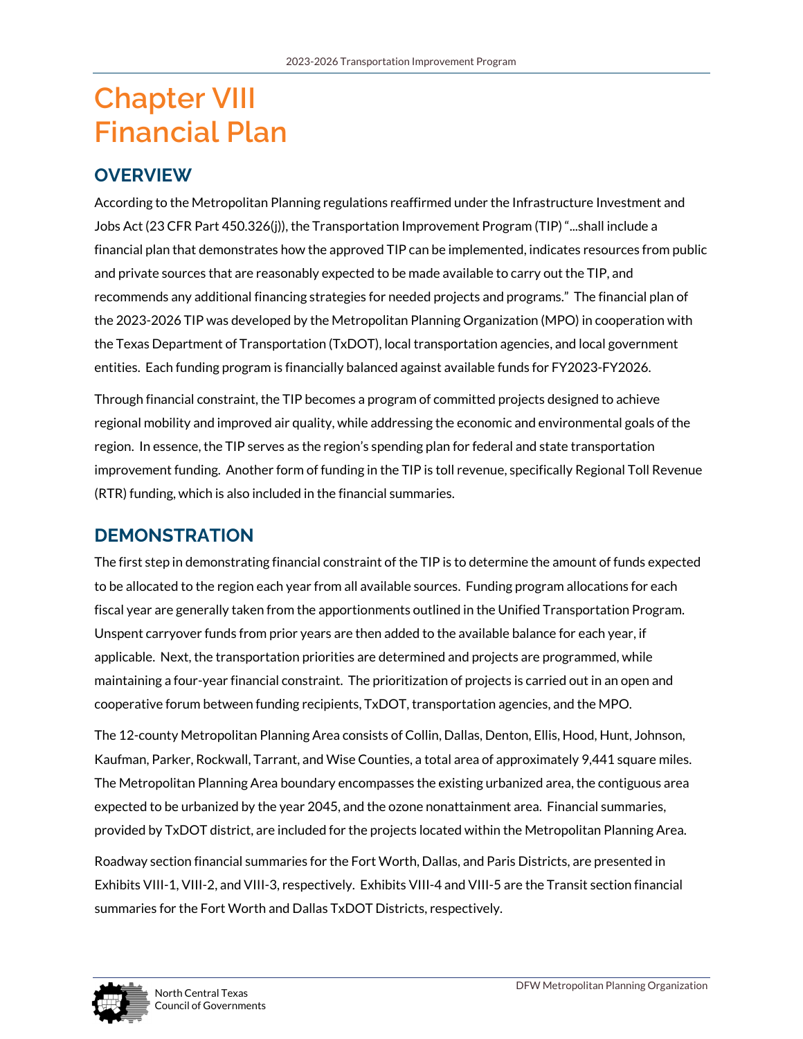# **Chapter VIII Financial Plan**

## **OVERVIEW**

According to the Metropolitan Planning regulations reaffirmed under the Infrastructure Investment and Jobs Act (23 CFR Part 450.326(j)), the Transportation Improvement Program (TIP) "...shall include a financial plan that demonstrates how the approved TIP can be implemented, indicates resources from public and private sources that are reasonably expected to be made available to carry out the TIP, and recommends any additional financing strategies for needed projects and programs." The financial plan of the 2023-2026 TIP was developed by the Metropolitan Planning Organization (MPO) in cooperation with the Texas Department of Transportation (TxDOT), local transportation agencies, and local government entities. Each funding program is financially balanced against available funds for FY2023-FY2026.

Through financial constraint, the TIP becomes a program of committed projects designed to achieve regional mobility and improved air quality, while addressing the economic and environmental goals of the region. In essence, the TIP serves as the region's spending plan for federal and state transportation improvement funding. Another form of funding in the TIP is toll revenue, specifically Regional Toll Revenue (RTR) funding, which is also included in the financial summaries.

## **DEMONSTRATION**

The first step in demonstrating financial constraint of the TIP is to determine the amount of funds expected to be allocated to the region each year from all available sources. Funding program allocations for each fiscal year are generally taken from the apportionments outlined in the Unified Transportation Program. Unspent carryover funds from prior years are then added to the available balance for each year, if applicable. Next, the transportation priorities are determined and projects are programmed, while maintaining a four-year financial constraint. The prioritization of projects is carried out in an open and cooperative forum between funding recipients, TxDOT, transportation agencies, and the MPO.

The 12-county Metropolitan Planning Area consists of Collin, Dallas, Denton, Ellis, Hood, Hunt, Johnson, Kaufman, Parker, Rockwall, Tarrant, and Wise Counties, a total area of approximately 9,441 square miles. The Metropolitan Planning Area boundary encompasses the existing urbanized area, the contiguous area expected to be urbanized by the year 2045, and the ozone nonattainment area. Financial summaries, provided by TxDOT district, are included for the projects located within the Metropolitan Planning Area.

Roadway section financial summaries for the Fort Worth, Dallas, and Paris Districts, are presented in Exhibits VIII-1, VIII-2, and VIII-3, respectively. Exhibits VIII-4 and VIII-5 are the Transit section financial summaries for the Fort Worth and Dallas TxDOT Districts, respectively.

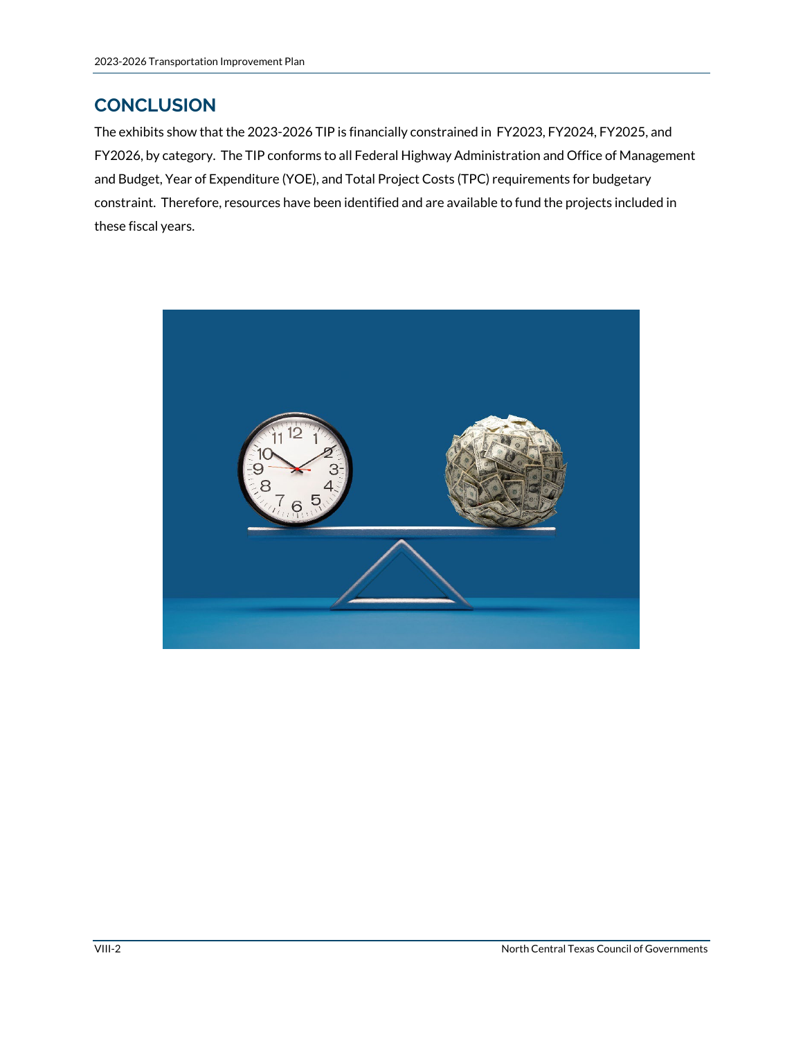### **CONCLUSION**

The exhibits show that the 2023-2026 TIP is financially constrained in FY2023, FY2024, FY2025, and FY2026, by category. The TIP conforms to all Federal Highway Administration and Office of Management and Budget, Year of Expenditure (YOE), and Total Project Costs (TPC) requirements for budgetary constraint. Therefore, resources have been identified and are available to fund the projects included in these fiscal years.

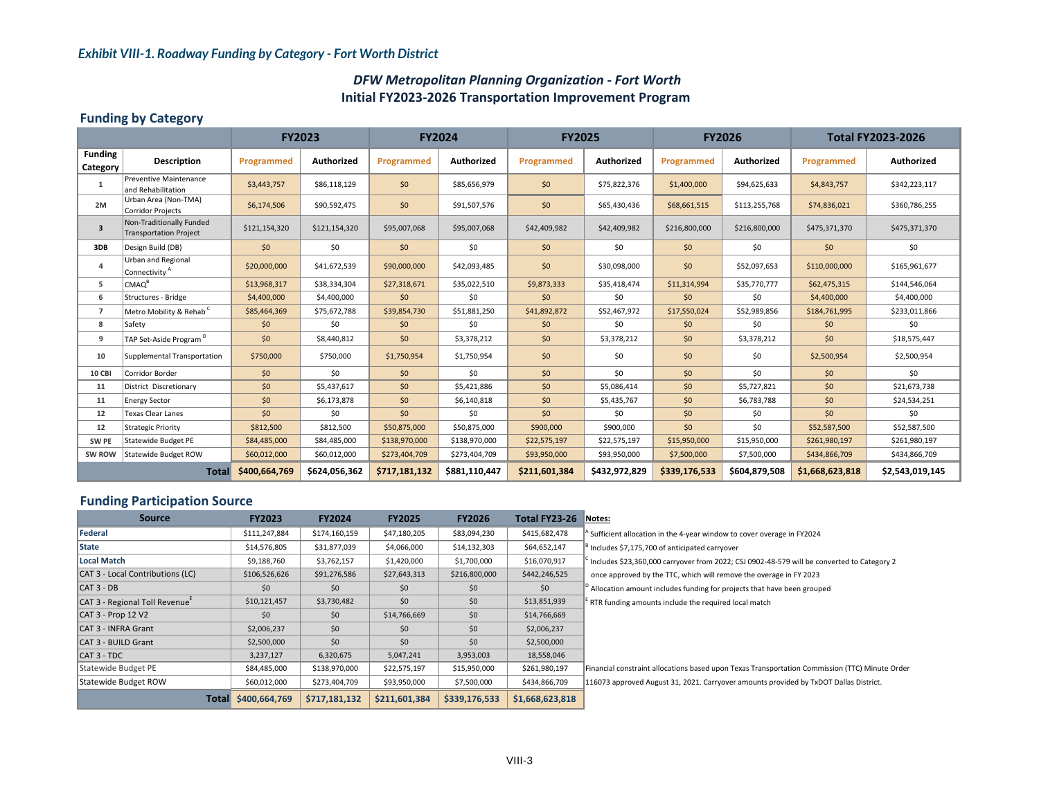#### *Exhibit VIII-1. Roadway Funding by Category - Fort Worth District*

#### *DFW Metropolitan Planning Organization ‐ Fort Worth* **Initial FY2023‐2026 Transportation Improvement Program**

#### **Funding by Category**

|                            |                                                           | <b>FY2023</b> |               | <b>FY2024</b> |               | <b>FY2025</b> |               | <b>FY2026</b> |               | <b>Total FY2023-2026</b> |                   |
|----------------------------|-----------------------------------------------------------|---------------|---------------|---------------|---------------|---------------|---------------|---------------|---------------|--------------------------|-------------------|
| <b>Funding</b><br>Category | <b>Description</b>                                        | Programmed    | Authorized    | Programmed    | Authorized    | Programmed    | Authorized    | Programmed    | Authorized    | Programmed               | <b>Authorized</b> |
| 1                          | Preventive Maintenance<br>and Rehabilitation              | \$3,443,757   | \$86,118,129  | \$0           | \$85,656,979  | \$0           | \$75,822,376  | \$1,400,000   | \$94,625,633  | \$4,843,757              | \$342,223,117     |
| 2M                         | Urban Area (Non-TMA)<br><b>Corridor Projects</b>          | \$6,174,506   | \$90,592,475  | \$0           | \$91,507,576  | \$0           | \$65,430,436  | \$68,661,515  | \$113,255,768 | \$74,836,021             | \$360,786,255     |
| $\overline{\mathbf{3}}$    | Non-Traditionally Funded<br><b>Transportation Project</b> | \$121,154,320 | \$121,154,320 | \$95,007,068  | \$95,007,068  | \$42,409,982  | \$42,409,982  | \$216,800,000 | \$216,800,000 | \$475,371,370            | \$475,371,370     |
| 3DB                        | Design Build (DB)                                         | \$0           | \$0           | \$0           | \$0           | \$0           | \$0           | \$0           | \$0           | \$0                      | \$0               |
| $\overline{4}$             | <b>Urban and Regional</b><br>Connectivity <sup>A</sup>    | \$20,000,000  | \$41,672,539  | \$90,000,000  | \$42,093,485  | \$0           | \$30,098,000  | \$0           | \$52,097,653  | \$110,000,000            | \$165,961,677     |
| 5                          | CMAO <sup>B</sup>                                         | \$13,968,317  | \$38,334,304  | \$27,318,671  | \$35,022,510  | \$9,873,333   | \$35,418,474  | \$11,314,994  | \$35,770,777  | \$62,475,315             | \$144,546,064     |
| 6                          | Structures - Bridge                                       | \$4,400,000   | \$4,400,000   | \$0           | \$0           | 50            | \$0           | \$0           | \$0           | \$4,400,000              | \$4,400,000       |
| $\overline{7}$             | Metro Mobility & Rehab <sup>C</sup>                       | \$85,464,369  | \$75,672,788  | \$39,854,730  | \$51,881,250  | \$41,892,872  | \$52,467,972  | \$17,550,024  | \$52,989,856  | \$184,761,995            | \$233,011,866     |
| 8                          | Safety                                                    | \$0           | \$0           | \$0           | \$0           | \$0           | \$0           | \$0           | \$0           | \$0                      | \$0               |
| 9                          | TAP Set-Aside Program <sup>D</sup>                        | \$0           | \$8,440,812   | \$0           | \$3,378,212   | \$0           | \$3,378,212   | \$0           | \$3,378,212   | \$0                      | \$18,575,447      |
| 10                         | Supplemental Transportation                               | \$750,000     | \$750,000     | \$1,750,954   | \$1,750,954   | \$0           | \$0           | \$0           | \$0           | \$2,500,954              | \$2,500,954       |
| 10 CBI                     | Corridor Border                                           | \$0           | \$0           | \$0           | \$0           | \$0           | \$0           | \$0           | \$0           | \$0                      | \$0               |
| 11                         | District Discretionary                                    | \$0           | \$5,437,617   | \$0           | \$5,421,886   | \$0           | \$5,086,414   | \$0           | \$5,727,821   | \$0                      | \$21,673,738      |
| 11                         | <b>Energy Sector</b>                                      | \$0           | \$6,173,878   | \$0           | \$6,140,818   | \$0           | \$5,435,767   | \$0           | \$6,783,788   | \$0                      | \$24,534,251      |
| 12                         | Texas Clear Lanes                                         | \$0           | \$0           | \$0           | \$0           | \$0           | \$0           | \$0           | \$0           | \$0                      | \$0               |
| 12                         | <b>Strategic Priority</b>                                 | \$812,500     | \$812,500     | \$50,875,000  | \$50,875,000  | \$900,000     | \$900,000     | 50            | \$0           | \$52,587,500             | \$52,587,500      |
| SW PE                      | <b>Statewide Budget PE</b>                                | \$84,485,000  | \$84,485,000  | \$138,970,000 | \$138,970,000 | \$22,575,197  | \$22,575,197  | \$15,950,000  | \$15,950,000  | \$261,980,197            | \$261,980,197     |
| SW ROW                     | Statewide Budget ROW                                      | \$60,012,000  | \$60,012,000  | \$273,404,709 | \$273,404,709 | \$93,950,000  | \$93,950,000  | \$7,500,000   | \$7,500,000   | \$434,866,709            | \$434,866,709     |
| Total                      |                                                           | \$400,664,769 | \$624,056,362 | \$717,181,132 | \$881,110,447 | \$211,601,384 | \$432,972,829 | \$339,176,533 | \$604,879,508 | \$1,668,623,818          | \$2,543,019,145   |

#### **Funding Participation Source**

| <b>Source</b>                              | <b>FY2023</b> | <b>FY2024</b> | <b>FY2025</b> | <b>FY2026</b> | Total FY23-26   | Notes:                                                                                         |
|--------------------------------------------|---------------|---------------|---------------|---------------|-----------------|------------------------------------------------------------------------------------------------|
| <b>lFederal</b>                            | \$111,247,884 | \$174,160,159 | \$47,180,205  | \$83,094,230  | \$415,682,478   | Sufficient allocation in the 4-year window to cover overage in FY2024                          |
| <b>State</b>                               | \$14,576,805  | \$31,877,039  | \$4,066,000   | \$14,132,303  | \$64,652,147    | Includes \$7,175,700 of anticipated carryover                                                  |
| Local Match                                | \$9,188,760   | \$3,762,157   | \$1,420,000   | \$1,700,000   | \$16,070,917    | Includes \$23,360,000 carryover from 2022; CSJ 0902-48-579 will be converted to Category 2     |
| CAT 3 - Local Contributions (LC)           | \$106,526,626 | \$91,276,586  | \$27,643,313  | \$216,800,000 | \$442,246,525   | once approved by the TTC, which will remove the overage in FY 2023                             |
| $ICAT3 - DB$                               | \$0           | \$0           | \$0           | \$0           | \$0             | Allocation amount includes funding for projects that have been grouped                         |
| CAT 3 - Regional Toll Revenue <sup>E</sup> | \$10,121,457  | \$3,730,482   | \$0           | \$0           | \$13,851,939    | RTR funding amounts include the required local match                                           |
| CAT 3 - Prop 12 V2                         | \$0           | \$0           | \$14,766,669  | \$0           | \$14,766,669    |                                                                                                |
| CAT 3 - INFRA Grant                        | \$2,006,237   | \$0           | \$0           | \$0           | \$2,006,237     |                                                                                                |
| CAT 3 - BUILD Grant                        | \$2,500,000   | \$0           | \$0\$         | \$0           | \$2,500,000     |                                                                                                |
| ICAT 3 - TDC                               | 3,237,127     | 6,320,675     | 5,047,241     | 3,953,003     | 18,558,046      |                                                                                                |
| Statewide Budget PE                        | \$84,485,000  | \$138,970,000 | \$22,575,197  | \$15,950,000  | \$261,980,197   | Financial constraint allocations based upon Texas Transportation Commission (TTC) Minute Order |
| Statewide Budget ROW                       | \$60,012,000  | \$273,404,709 | \$93,950,000  | \$7,500,000   | \$434,866,709   | 116073 approved August 31, 2021. Carryover amounts provided by TxDOT Dallas District.          |
| Total                                      | \$400,664,769 | \$717,181,132 | \$211,601,384 | \$339,176,533 | \$1,668,623,818 |                                                                                                |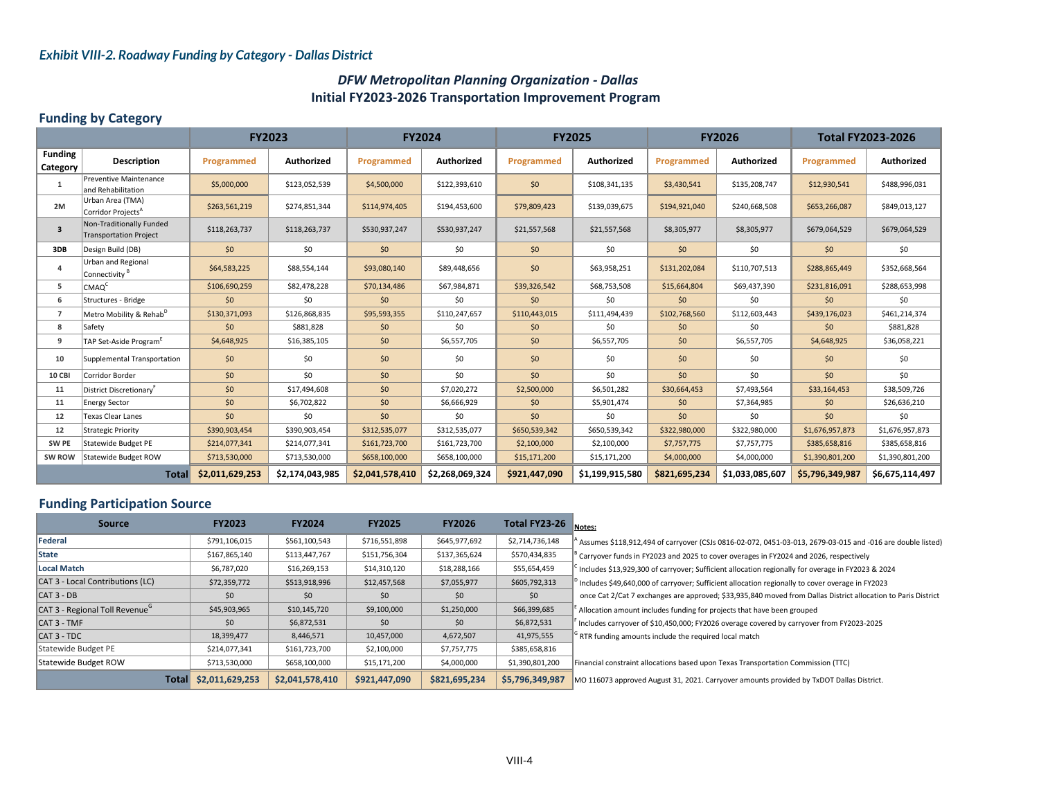#### *Exhibit VIII-2. Roadway Funding by Category - Dallas District*

#### *DFW Metropolitan Planning Organization ‐ Dallas* **Initial FY2023‐2026 Transportation Improvement Program**

#### **Funding by Category**

|                            |                                                           | <b>FY2023</b>   |                   | <b>FY2024</b>   |                 | <b>FY2025</b> |                 | <b>FY2026</b> |                 | <b>Total FY2023-2026</b> |                 |
|----------------------------|-----------------------------------------------------------|-----------------|-------------------|-----------------|-----------------|---------------|-----------------|---------------|-----------------|--------------------------|-----------------|
| <b>Funding</b><br>Category | <b>Description</b>                                        | Programmed      | <b>Authorized</b> | Programmed      | Authorized      | Programmed    | Authorized      | Programmed    | Authorized      | Programmed               | Authorized      |
| 1                          | Preventive Maintenance<br>land Rehabilitation             | \$5,000,000     | \$123,052,539     | \$4,500,000     | \$122,393,610   | \$0           | \$108,341,135   | \$3,430,541   | \$135,208,747   | \$12,930,541             | \$488,996,031   |
| 2M                         | Urban Area (TMA)<br>Corridor Projects <sup>A</sup>        | \$263,561,219   | \$274,851,344     | \$114,974,405   | \$194,453,600   | \$79,809,423  | \$139,039,675   | \$194,921,040 | \$240,668,508   | \$653,266,087            | \$849,013,127   |
| $\overline{3}$             | Non-Traditionally Funded<br><b>Transportation Project</b> | \$118,263,737   | \$118,263,737     | \$530,937,247   | \$530,937,247   | \$21,557,568  | \$21,557,568    | \$8,305,977   | \$8,305,977     | \$679,064,529            | \$679,064,529   |
| 3DB                        | Design Build (DB)                                         | \$0             | \$0               | 50              | \$0             | \$0           | \$0             | \$0           | \$0             | \$0                      | \$0             |
| 4                          | <b>Urban and Regional</b><br>Connectivity <sup>B</sup>    | \$64,583,225    | \$88,554,144      | \$93,080,140    | \$89,448,656    | \$0           | \$63,958,251    | \$131,202,084 | \$110,707,513   | \$288,865,449            | \$352,668,564   |
| 5                          | CMAO <sup>C</sup>                                         | \$106,690,259   | \$82,478,228      | \$70,134,486    | \$67,984,871    | \$39,326,542  | \$68,753,508    | \$15,664,804  | \$69,437,390    | \$231,816,091            | \$288,653,998   |
| 6                          | Structures - Bridge                                       | \$0             | \$0               | \$0             | \$0             | \$0           | \$0             | \$0           | \$0             | \$0                      | \$0             |
| $\overline{7}$             | Metro Mobility & Rehab <sup>D</sup>                       | \$130,371,093   | \$126,868,835     | \$95,593,355    | \$110,247,657   | \$110,443,015 | \$111,494,439   | \$102,768,560 | \$112,603,443   | \$439,176,023            | \$461,214,374   |
| 8                          | Safety                                                    | \$0             | \$881,828         | \$0             | \$0             | \$0           | \$0             | \$0           | \$0             | \$0                      | \$881,828       |
| 9                          | TAP Set-Aside Program <sup>E</sup>                        | \$4,648,925     | \$16,385,105      | \$0             | \$6,557,705     | \$0           | \$6,557,705     | \$0           | \$6,557,705     | \$4,648,925              | \$36,058,221    |
| 10                         | Supplemental Transportation                               | \$0             | \$0               | \$0             | \$0             | \$0           | \$0             | \$0           | \$0             | \$0                      | \$0             |
| <b>10 CBI</b>              | Corridor Border                                           | \$0             | \$0               | \$0             | \$0             | \$0           | \$0             | \$0           | \$0             | \$0                      | \$0             |
| 11                         | District Discretionary <sup>t</sup>                       | \$0             | \$17,494,608      | \$0             | \$7,020,272     | \$2,500,000   | \$6,501,282     | \$30,664,453  | \$7,493,564     | \$33,164,453             | \$38,509,726    |
| 11                         | <b>Energy Sector</b>                                      | \$0             | \$6,702,822       | \$0             | \$6,666,929     | \$0           | \$5,901,474     | \$0           | \$7,364,985     | \$0                      | \$26,636,210    |
| 12                         | <b>Texas Clear Lanes</b>                                  | \$0             | \$0               | \$0             | \$0             | \$0           | \$0             | \$0           | \$0             | \$0                      | \$0             |
| 12                         | <b>Strategic Priority</b>                                 | \$390,903,454   | \$390,903,454     | \$312,535,077   | \$312,535,077   | \$650,539,342 | \$650,539,342   | \$322,980,000 | \$322,980,000   | \$1,676,957,873          | \$1,676,957,873 |
| SW PE                      | Statewide Budget PE                                       | \$214,077,341   | \$214,077,341     | \$161,723,700   | \$161,723,700   | \$2,100,000   | \$2,100,000     | \$7,757,775   | \$7,757,775     | \$385,658,816            | \$385,658,816   |
| SW ROW                     | Statewide Budget ROW                                      | \$713,530,000   | \$713,530,000     | \$658,100,000   | \$658,100,000   | \$15,171,200  | \$15,171,200    | \$4,000,000   | \$4,000,000     | \$1,390,801,200          | \$1,390,801,200 |
|                            | <b>Total</b>                                              | \$2,011,629,253 | \$2,174,043,985   | \$2,041,578,410 | \$2,268,069,324 | \$921,447,090 | \$1,199,915,580 | \$821,695,234 | \$1,033,085,607 | \$5,796,349,987          | \$6,675,114,497 |

#### **Funding Participation Source**

| <b>Source</b>                              | <b>FY2023</b>   | <b>FY2024</b>   | <b>FY2025</b> | <b>FY2026</b> | Total FY23-26   | Notes:                                                                                                        |
|--------------------------------------------|-----------------|-----------------|---------------|---------------|-----------------|---------------------------------------------------------------------------------------------------------------|
| <b>IFederal</b>                            | \$791,106,015   | \$561,100,543   | \$716,551,898 | \$645,977,692 | \$2,714,736,148 | Assumes \$118,912,494 of carryover (CSJs 0816-02-072, 0451-03-013, 2679-03-015 and -016 are double listed) ^  |
| <b>State</b>                               | \$167,865,140   | \$113,447,767   | \$151,756,304 | \$137,365,624 | \$570,434,835   | $^{\circ}$ Carryover funds in FY2023 and 2025 to cover overages in FY2024 and 2026, respectively              |
| Local Match                                | \$6,787,020     | \$16,269,153    | \$14,310,120  | \$18,288,166  | \$55,654,459    | Includes \$13,929,300 of carryover; Sufficient allocation regionally for overage in FY2023 & 2024             |
| CAT 3 - Local Contributions (LC)           | \$72,359,772    | \$513,918,996   | \$12,457,568  | \$7,055,977   | \$605,792,313   | $\beta$ Includes \$49,640,000 of carryover; Sufficient allocation regionally to cover overage in FY2023       |
| $ CAT 3 - DB$                              | \$0             | \$0             | \$0           | \$0           | \$0             | once Cat 2/Cat 7 exchanges are approved; \$33,935,840 moved from Dallas District allocation to Paris District |
| CAT 3 - Regional Toll Revenue <sup>G</sup> | \$45,903,965    | \$10,145,720    | \$9,100,000   | \$1,250,000   | \$66,399,685    | Allocation amount includes funding for projects that have been grouped                                        |
| CAT 3 - TMF                                | \$0             | \$6,872,531     | \$0           | \$0           | \$6,872,531     | Includes carryover of \$10,450,000; FY2026 overage covered by carryover from FY2023-2025                      |
| $CAT$ 3 - TDC                              | 18,399,477      | 8,446,571       | 10,457,000    | 4,672,507     | 41,975,555      | RTR funding amounts include the required local match                                                          |
| Statewide Budget PE                        | \$214,077,341   | \$161,723,700   | \$2,100,000   | \$7,757,775   | \$385,658,816   |                                                                                                               |
| Statewide Budget ROW                       | \$713,530,000   | \$658,100,000   | \$15,171,200  | \$4,000,000   | \$1,390,801,200 | Financial constraint allocations based upon Texas Transportation Commission (TTC)                             |
| <b>Total</b>                               | \$2,011,629,253 | \$2,041,578,410 | \$921,447,090 | \$821,695,234 | \$5,796,349,987 | MO 116073 approved August 31, 2021. Carryover amounts provided by TxDOT Dallas District.                      |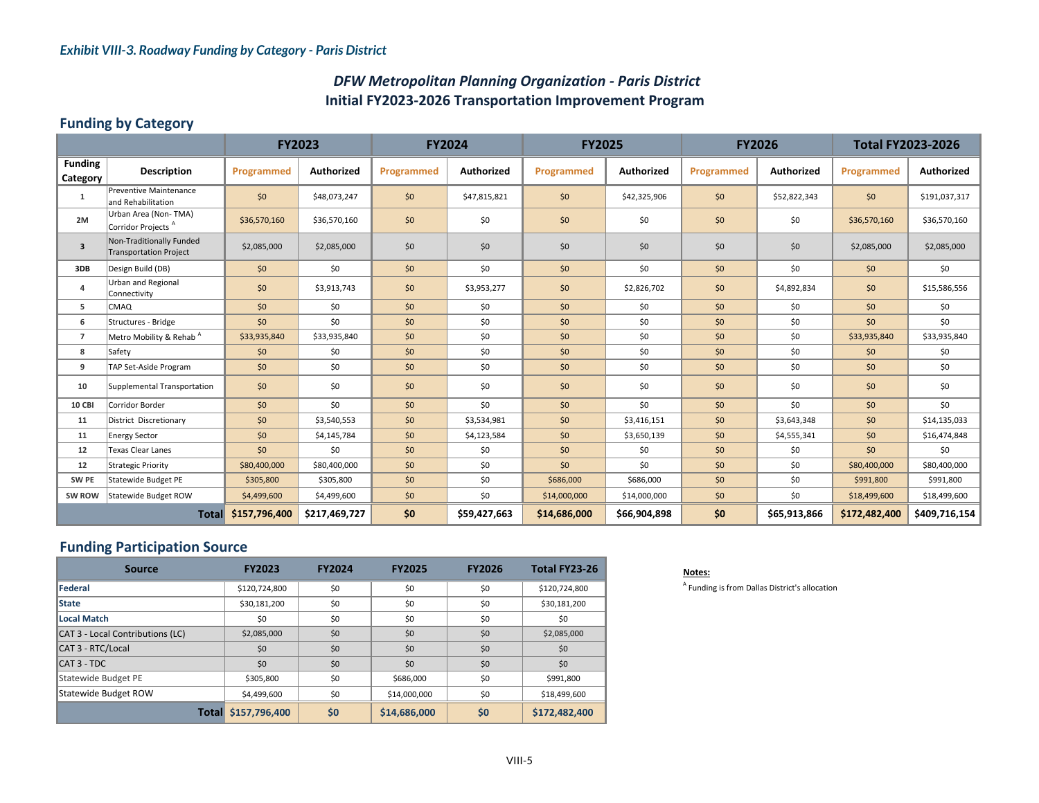### *DFW Metropolitan Planning Organization ‐ Paris District* **Initial FY2023‐2026 Transportation Improvement Program**

#### **Funding by Category**

|                            |                                                           | <b>FY2023</b> |               | <b>FY2024</b> |                   | <b>FY2025</b> |                   | <b>FY2026</b> |                   | <b>Total FY2023-2026</b> |                   |
|----------------------------|-----------------------------------------------------------|---------------|---------------|---------------|-------------------|---------------|-------------------|---------------|-------------------|--------------------------|-------------------|
| <b>Funding</b><br>Category | <b>Description</b>                                        | Programmed    | Authorized    | Programmed    | <b>Authorized</b> | Programmed    | <b>Authorized</b> | Programmed    | <b>Authorized</b> | Programmed               | <b>Authorized</b> |
| 1                          | <b>Preventive Maintenance</b><br>and Rehabilitation       | \$0           | \$48,073,247  | \$0           | \$47,815,821      | \$0           | \$42,325,906      | \$0           | \$52,822,343      | \$0                      | \$191,037,317     |
| 2M                         | Urban Area (Non-TMA)<br>Corridor Projects <sup>A</sup>    | \$36,570,160  | \$36,570,160  | \$0           | \$0               | \$0           | \$0               | \$0           | \$0               | \$36,570,160             | \$36,570,160      |
| $\overline{\mathbf{3}}$    | Non-Traditionally Funded<br><b>Transportation Project</b> | \$2,085,000   | \$2,085,000   | \$0           | \$0               | \$0           | \$0               | \$0           | \$0               | \$2,085,000              | \$2,085,000       |
| 3DB                        | Design Build (DB)                                         | \$0           | \$0           | \$0           | \$0               | \$0           | \$0               | \$0           | \$0               | \$0\$                    | \$0               |
| 4                          | Urban and Regional<br>Connectivity                        | \$0           | \$3,913,743   | \$0           | \$3,953,277       | \$0           | \$2,826,702       | \$0           | \$4,892,834       | \$0                      | \$15,586,556      |
| 5                          | <b>CMAQ</b>                                               | \$0           | \$0           | \$0           | \$0               | \$0           | \$0               | \$0           | 50                | \$0                      | \$0               |
| 6                          | Structures - Bridge                                       | \$0           | \$0           | \$0           | \$0               | \$0           | \$0               | \$0           | \$0               | \$0                      | \$0               |
| $\overline{7}$             | Metro Mobility & Rehab <sup>A</sup>                       | \$33,935,840  | \$33,935,840  | \$0           | \$0               | \$0           | \$0               | \$0           | \$0               | \$33,935,840             | \$33,935,840      |
| 8                          | Safety                                                    | \$0           | \$0           | \$0           | \$0               | \$0           | \$0               | \$0           | \$0               | \$0                      | \$0               |
| 9                          | TAP Set-Aside Program                                     | \$0           | \$0           | \$0           | \$0               | \$0           | \$0               | \$0           | \$0               | \$0\$                    | \$0               |
| 10                         | Supplemental Transportation                               | \$0           | \$0           | \$0           | \$0               | \$0           | \$0               | \$0           | \$0               | \$0                      | \$0               |
| <b>10 CBI</b>              | Corridor Border                                           | \$0           | \$0           | \$0           | \$0               | \$0           | \$0               | \$0           | \$0               | \$0                      | \$0               |
| 11                         | District Discretionary                                    | \$0           | \$3,540,553   | \$0           | \$3,534,981       | \$0           | \$3,416,151       | \$0           | \$3,643,348       | \$0                      | \$14,135,033      |
| 11                         | <b>Energy Sector</b>                                      | \$0           | \$4,145,784   | \$0           | \$4,123,584       | \$0           | \$3,650,139       | \$0           | \$4,555,341       | \$0                      | \$16,474,848      |
| 12                         | <b>Texas Clear Lanes</b>                                  | \$0\$         | \$0           | \$0           | \$0               | \$0           | \$0               | \$0           | \$0               | \$0\$                    | \$0               |
| 12                         | <b>Strategic Priority</b>                                 | \$80,400,000  | \$80,400,000  | \$0           | \$0               | \$0           | \$0               | \$0           | \$0               | \$80,400,000             | \$80,400,000      |
| SW PE                      | Statewide Budget PE                                       | \$305,800     | \$305,800     | \$0           | \$0               | \$686,000     | \$686,000         | \$0           | \$0               | \$991,800                | \$991,800         |
| SW ROW                     | Statewide Budget ROW                                      | \$4,499,600   | \$4,499,600   | \$0           | \$0               | \$14,000,000  | \$14,000,000      | \$0           | \$0               | \$18,499,600             | \$18,499,600      |
| <b>Total</b>               |                                                           | \$157,796,400 | \$217,469,727 | \$0           | \$59,427,663      | \$14,686,000  | \$66,904,898      | \$0           | \$65,913,866      | \$172,482,400            | \$409,716,154     |

### **Funding Participation Source**

| <b>Source</b>                    | <b>FY2023</b>       | <b>FY2024</b> | <b>FY2025</b> | <b>FY2026</b> | Total FY23-26 |
|----------------------------------|---------------------|---------------|---------------|---------------|---------------|
| <b>Federal</b>                   | \$120,724,800       | \$0           | \$0           | \$0           | \$120,724,800 |
| <b>State</b>                     | \$30,181,200        | \$0           | \$0           | \$0           | \$30,181,200  |
| Local Match                      | \$0                 | \$0           | \$0           | \$0           | \$0           |
| CAT 3 - Local Contributions (LC) | \$2,085,000         | \$0           | \$0           | \$0           | \$2,085,000   |
| CAT 3 - RTC/Local                | \$0                 | \$0           | \$0           | \$0           | \$0           |
| CAT 3 - TDC                      | \$0                 | \$0           | \$0           | \$0           | \$0           |
| Statewide Budget PE              | \$305,800           | \$0           | \$686,000     | \$0           | \$991,800     |
| Statewide Budget ROW             | \$4,499,600         | \$0           | \$14,000,000  | \$0           | \$18,499,600  |
|                                  | Total \$157,796,400 | \$0           | \$14,686,000  | \$0           | \$172,482,400 |

#### **Notes:**

 $<sup>A</sup>$  Funding is from Dallas District's allocation</sup>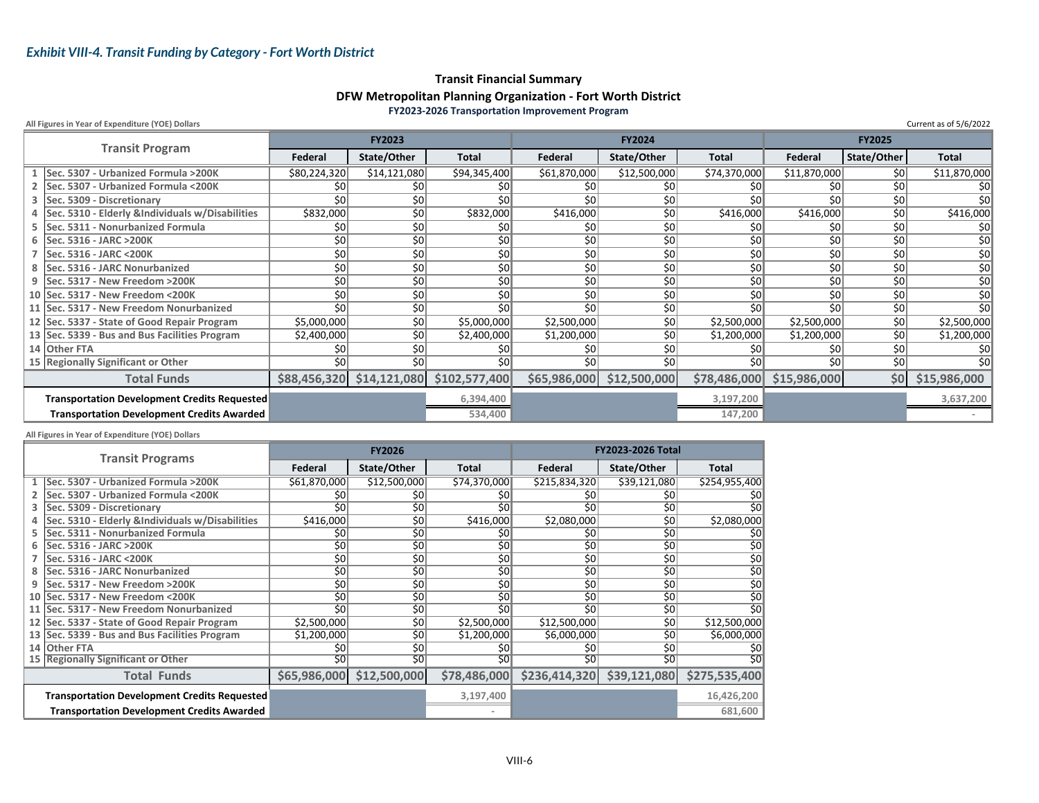#### **Transit Financial Summary DFW Metropolitan Planning Organization ‐ Fort Worth District FY2023‐2026 Transportation Improvement Program**

**All Figures in Year of Expenditure (YOE) Dollars**

| All Figures in Year of Expenditure (YOE) Dollars    |              |                             |               |              |               |                 |              |               | Current as of 5/6/2022 |
|-----------------------------------------------------|--------------|-----------------------------|---------------|--------------|---------------|-----------------|--------------|---------------|------------------------|
|                                                     |              | <b>FY2023</b>               |               |              | <b>FY2024</b> |                 |              | <b>FY2025</b> |                        |
| <b>Transit Program</b>                              | Federal      | State/Other                 | <b>Total</b>  | Federal      | State/Other   | <b>Total</b>    | Federal      | State/Other   | <b>Total</b>           |
| Sec. 5307 - Urbanized Formula >200K                 | \$80,224,320 | \$14,121,080                | \$94,345,400  | \$61,870,000 | \$12,500,000  | \$74,370,000    | \$11,870,000 | \$0           | \$11,870,000           |
| 2 Sec. 5307 - Urbanized Formula <200K               | \$0          | \$0                         | \$0           | \$0          | \$0           | \$0             | \$0          | 50            | \$0                    |
| 3 Sec. 5309 - Discretionary                         | 50           | \$0                         | \$0           | \$0          | \$0           |                 | \$0          | \$0           | \$0 <sub>0</sub>       |
| 4 Sec. 5310 - Elderly & Individuals w/Disabilities  | \$832,000    | \$0                         | \$832,000     | \$416,000    | \$0           | \$416,000       | \$416,000    | 50            | \$416,000              |
| 5 Sec. 5311 - Nonurbanized Formula                  | 50           | \$0                         | \$0∥          | \$0          | \$0           | \$0             | \$0          | \$0           | 50 <sup>°</sup>        |
| 6 Sec. 5316 - JARC > 200K                           | 50           | 50                          | \$0           | 50           | \$0           | 0≵              | 50           | 50            | 50                     |
| Sec. 5316 - JARC < 200K                             | 50           | 50                          | 50            | \$0          | 50            | \$٥             | \$0          | 50            | 50                     |
| 8 Sec. 5316 - JARC Nonurbanized                     | 50           | \$0                         | \$0           | 50           | \$0           | \$٥             | \$0          | 50            | \$0 <sub>1</sub>       |
| 9 Sec. 5317 - New Freedom > 200K                    | \$0          | $\overline{50}$             | \$0           | \$0          | \$0           | \$0             | \$0          | 50            | 50                     |
| 10 Sec. 5317 - New Freedom < 200K                   | 50           | \$0                         | \$0           | 50           | 50            | \$0             | \$0          | 50            | \$0 <sub>0</sub>       |
| 11 Sec. 5317 - New Freedom Nonurbanized             | 50           | \$0                         | \$0           | \$0          | 50            | 50 <sub>l</sub> | \$0          | 50            | 50 <sup>°</sup>        |
| 12 Sec. 5337 - State of Good Repair Program         | \$5,000,000  | \$0                         | \$5,000,000   | \$2,500,000  | \$0           | \$2,500,000     | \$2,500,000  | 50            | \$2,500,000            |
| 13 Sec. 5339 - Bus and Bus Facilities Program       | \$2,400,000  | \$0                         | \$2,400,000   | \$1,200,000  | \$0           | \$1,200,000     | \$1,200,000  | 50            | \$1,200,000            |
| 14 Other FTA                                        | 50           | \$0                         | \$0           | 50           | \$0           | \$0             | \$0          | \$0           | 50 <sup>°</sup>        |
| 15 Regionally Significant or Other                  | 50           | 50                          | 50            | \$0          | 50            | 50 <sub>l</sub> | \$0          | 50            | 50 <sup>°</sup>        |
| <b>Total Funds</b>                                  |              | $$88,456,320$ $$14,121,080$ | \$102,577,400 | \$65,986,000 | \$12,500,000  | \$78,486,000    | \$15,986,000 | \$0           | \$15,986,000           |
| <b>Transportation Development Credits Requested</b> |              |                             | 6,394,400     |              |               | 3,197,200       |              |               | 3,637,200              |
| <b>Transportation Development Credits Awarded</b>   |              |                             | 534,400       |              |               | 147,200         |              |               |                        |

**All Figures in Year of Expenditure (YOE) Dollars**

| <b>Transit Programs</b>                             |                 | <b>FY2026</b>             |              | <b>FY2023-2026 Total</b> |              |                  |  |
|-----------------------------------------------------|-----------------|---------------------------|--------------|--------------------------|--------------|------------------|--|
|                                                     | Federal         | State/Other               | <b>Total</b> | Federal                  | State/Other  | <b>Total</b>     |  |
| Sec. 5307 - Urbanized Formula >200K                 | \$61,870,000    | \$12,500,000              | \$74,370,000 | \$215,834,320            | \$39,121,080 | \$254,955,400    |  |
| Sec. 5307 - Urbanized Formula <200K                 | \$0             | \$0∣                      | \$0          | \$0                      | \$0          | 50 <sub>l</sub>  |  |
| Sec. 5309 - Discretionary                           | \$0             | 50                        | \$0          | \$0                      | \$0          | \$0 <sub>l</sub> |  |
| Sec. 5310 - Elderly &Individuals w/Disabilities     | \$416,000       | \$0                       | \$416,000    | \$2,080,000              | \$0          | \$2,080,000      |  |
| Sec. 5311 - Nonurbanized Formula                    | \$0             | \$0                       | \$0          | \$0                      | \$0          | 50 <sup>°</sup>  |  |
| Sec. 5316 - JARC > 200K                             | \$0             | \$0                       | 50           | 50                       | 50           | 50 <sub>l</sub>  |  |
| Sec. 5316 - JARC < 200K                             | \$0             | \$0                       | \$0          | 50                       | 50           | 50               |  |
| Sec. 5316 - JARC Nonurbanized                       | \$0             | 50                        | 50           | 50                       | 50           | 50 <sub>l</sub>  |  |
| Sec. 5317 - New Freedom > 200K                      | \$0             | \$0                       | \$0          | 50                       | 50           | 50 <sub>l</sub>  |  |
| 10 Sec. 5317 - New Freedom < 200K                   | $\overline{50}$ | 50                        | 50           | 50                       | 50           | 50               |  |
| 11 Sec. 5317 - New Freedom Nonurbanized             | \$0             | \$0∣                      | \$0          | \$O                      | 50           | \$0 <sub>l</sub> |  |
| 12 Sec. 5337 - State of Good Repair Program         | \$2,500,000     | \$0                       | \$2,500,000  | \$12,500,000             | 50           | \$12,500,000     |  |
| 13 Sec. 5339 - Bus and Bus Facilities Program       | \$1,200,000     | \$0                       | \$1,200,000  | \$6,000,000              | 50           | \$6,000,000      |  |
| 14 Other FTA                                        | \$0             | \$0                       | \$0          | \$0                      | \$0          | 50 <sup>°</sup>  |  |
| 15 Regionally Significant or Other                  | 50              | 50                        | 50           | 50                       | 50           | 50               |  |
| <b>Total Funds</b>                                  |                 | \$65,986,000 \$12,500,000 | \$78,486,000 | \$236,414,320            | \$39,121,080 | \$275,535,400    |  |
| <b>Transportation Development Credits Requested</b> |                 |                           | 3,197,400    |                          |              | 16,426,200       |  |
| <b>Transportation Development Credits Awarded</b>   |                 |                           |              |                          |              | 681,600          |  |